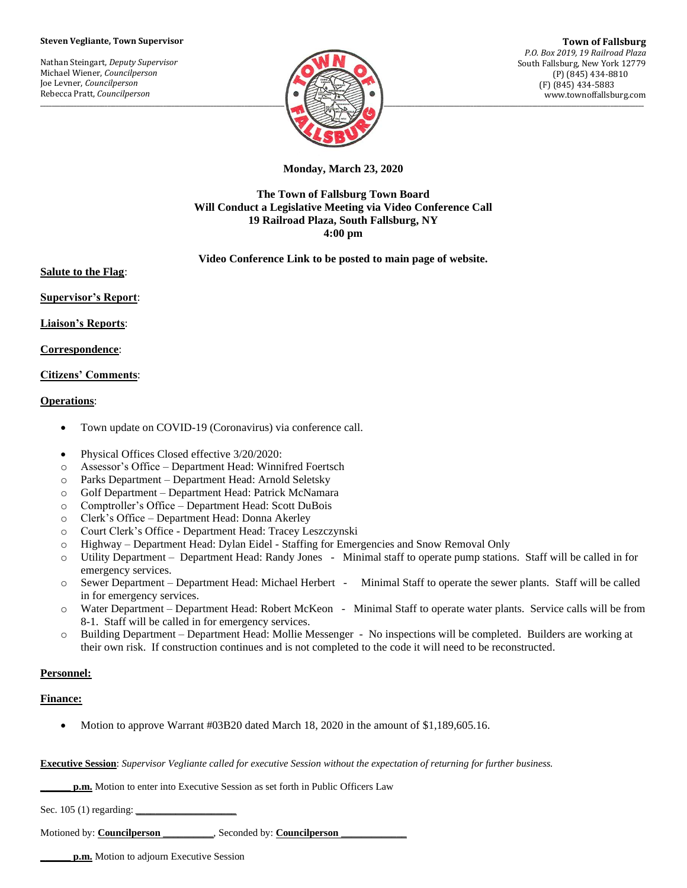### **Steven Vegliante, Town Supervisor**

Nathan Steingart, *Deputy Supervisor* Michael Wiener, *Councilperson* Joe Levner, *Councilperson* Rebecca Pratt, *Councilperson*



**Town of Fallsburg** *P.O. Box 2019, 19 Railroad Plaza* South Fallsburg, New York 12779 (P) (845) 434-8810 (F) (845) 434-5883 www.townoffallsburg.com

**Monday, March 23, 2020**

**The Town of Fallsburg Town Board Will Conduct a Legislative Meeting via Video Conference Call 19 Railroad Plaza, South Fallsburg, NY 4:00 pm**

**Video Conference Link to be posted to main page of website.**

**Salute to the Flag**:

**Supervisor's Report**:

**Liaison's Reports**:

**Correspondence**:

## **Citizens' Comments**:

## **Operations**:

- Town update on COVID-19 (Coronavirus) via conference call.
- Physical Offices Closed effective 3/20/2020:
- o Assessor's Office Department Head: Winnifred Foertsch
- o Parks Department Department Head: Arnold Seletsky
- o Golf Department Department Head: Patrick McNamara
- o Comptroller's Office Department Head: Scott DuBois
- o Clerk's Office Department Head: Donna Akerley
- o Court Clerk's Office Department Head: Tracey Leszczynski
- o Highway Department Head: Dylan Eidel Staffing for Emergencies and Snow Removal Only
- o Utility Department Department Head: Randy Jones Minimal staff to operate pump stations. Staff will be called in for emergency services.
- o Sewer Department Department Head: Michael Herbert Minimal Staff to operate the sewer plants. Staff will be called in for emergency services.
- o Water Department Department Head: Robert McKeon Minimal Staff to operate water plants. Service calls will be from 8-1. Staff will be called in for emergency services.
- o Building Department Department Head: Mollie Messenger No inspections will be completed. Builders are working at their own risk. If construction continues and is not completed to the code it will need to be reconstructed.

# **Personnel:**

# **Finance:**

• Motion to approve Warrant #03B20 dated March 18, 2020 in the amount of \$1,189,605.16.

**Executive Session**: *Supervisor Vegliante called for executive Session without the expectation of returning for further business.*

**p.m.** Motion to enter into Executive Session as set forth in Public Officers Law

Sec. 105 (1) regarding:

Motioned by: **Councilperson \_\_\_\_\_\_\_\_\_\_**, Seconded by: **Councilperson \_\_\_\_\_\_\_\_\_\_\_\_\_**

**\_\_\_\_\_\_ p.m.** Motion to adjourn Executive Session